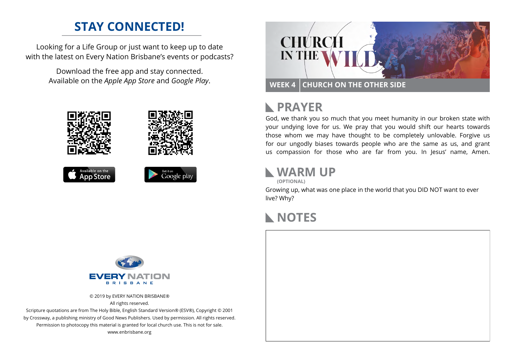### **STAY CONNECTED!**

Looking for a Life Group or just want to keep up to date with the latest on Every Nation Brisbane's events or podcasts?

> Download the free app and stay connected. Available on the *Apple App Store* and *Google Play*.





```
Available on the
App Store
```




## **RAYER**

God, we thank you so much that you meet humanity in our broken state with your undying love for us. We pray that you would shift our hearts towards those whom we may have thought to be completely unlovable. Forgive us for our ungodly biases towards people who are the same as us, and grant us compassion for those who are far from you. In Jesus' name, Amen.

### **WARM UP**

**(OPTIONAL)**

Growing up, what was one place in the world that you DID NOT want to ever live? Why?

#### **NOTES**



© 2019 by EVERY NATION BRISBANE® All rights reserved.

Scripture quotations are from The Holy Bible, English Standard Version® (ESV®), Copyright © 2001 by Crossway, a publishing ministry of Good News Publishers. Used by permission. All rights reserved. Permission to photocopy this material is granted for local church use. This is not for sale. www.enbrisbane.org